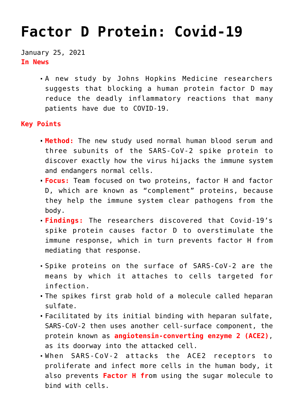## **[Factor D Protein: Covid-19](https://journalsofindia.com/factor-d-protein-covid-19/)**

January 25, 2021 **In News**

> A new study by Johns Hopkins Medicine researchers suggests that blocking a human protein factor D may reduce the deadly inflammatory reactions that many patients have due to COVID-19.

## **Key Points**

- **Method:** The new study used normal human blood serum and three subunits of the SARS-CoV-2 spike protein to discover exactly how the virus hijacks the immune system and endangers normal cells.
- **Focus:** Team focused on two proteins, factor H and factor D, which are known as "complement" proteins, because they help the immune system clear pathogens from the body.
- **Findings:** The researchers discovered that Covid-19's spike protein causes factor D to overstimulate the immune response, which in turn prevents factor H from mediating that response.
- Spike proteins on the surface of SARS-CoV-2 are the means by which it attaches to cells targeted for infection.
- The spikes first grab hold of a molecule called heparan sulfate.
- Facilitated by its initial binding with heparan sulfate, SARS-CoV-2 then uses another cell-surface component, the protein known as **angiotensin-converting enzyme 2 (ACE2)**, as its doorway into the attacked cell.
- When SARS-CoV-2 attacks the ACE2 receptors to proliferate and infect more cells in the human body, it also prevents **Factor H fr**om using the sugar molecule to bind with cells.